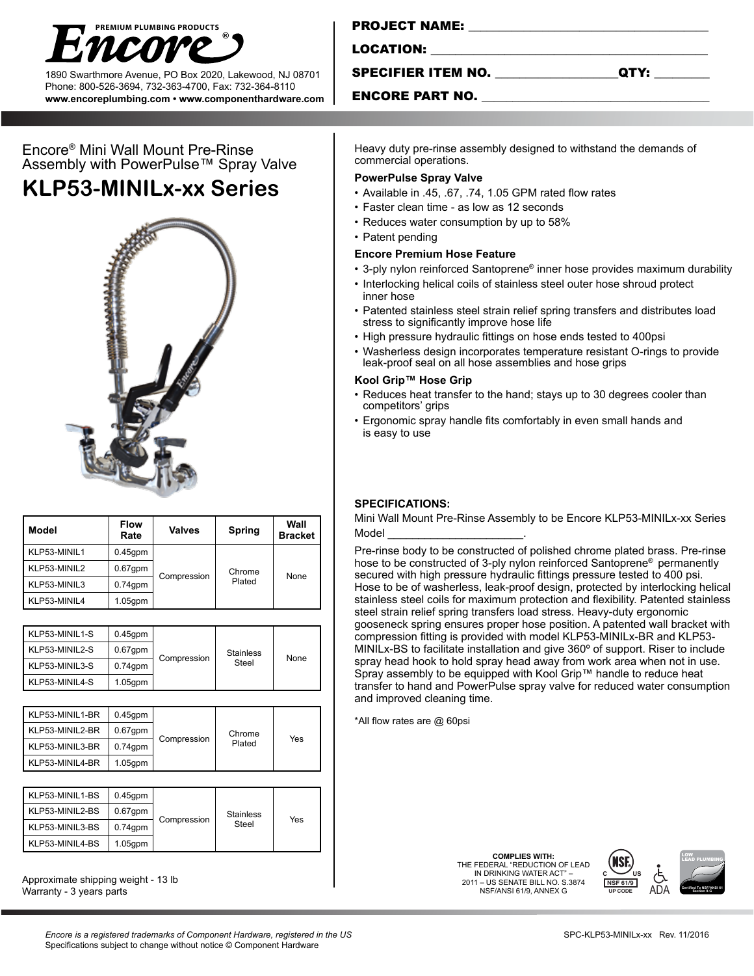

1890 Swarthmore Avenue, PO Box 2020, Lakewood, NJ 08701 Phone: 800-526-3694, 732-363-4700, Fax: 732-364-8110 **www.encoreplumbing.com • www.componenthardware.com**

| Encore® Mini Wall Mount Pre-Rinse      |  |  |
|----------------------------------------|--|--|
| Assembly with PowerPulse™ Spray Valve  |  |  |
| $\cdots$ $\sim$ $\sim$ $\sim$ $\cdots$ |  |  |

# **KLP53-MINILx-xx Series**



| Model        | <b>Flow</b><br>Rate | <b>Valves</b> | <b>Spring</b>    | Wall<br><b>Bracket</b> |
|--------------|---------------------|---------------|------------------|------------------------|
| KLP53-MINIL1 | $0.45$ gpm          | Compression   | Chrome<br>Plated | None                   |
| KLP53-MINIL2 | $0.67$ gpm          |               |                  |                        |
| KLP53-MINIL3 | $0.74$ gpm          |               |                  |                        |
| KLP53-MINIL4 | $1.05$ gpm          |               |                  |                        |

| KLP53-MINIL1-S | $0.45$ gpm | Compression | <b>Stainless</b><br>Steel | None |
|----------------|------------|-------------|---------------------------|------|
| KLP53-MINIL2-S | $0.67$ gpm |             |                           |      |
| KLP53-MINIL3-S | $0.74$ gpm |             |                           |      |
| KLP53-MINIL4-S | $1.05$ gpm |             |                           |      |

| KLP53-MINIL1-BR | $0.45$ gpm | Compression | Chrome<br>Plated | Yes |
|-----------------|------------|-------------|------------------|-----|
| KLP53-MINIL2-BR | $0.67$ gpm |             |                  |     |
| KLP53-MINIL3-BR | $0.74$ gpm |             |                  |     |
| KLP53-MINIL4-BR | $1.05$ gpm |             |                  |     |

| KLP53-MINIL1-BS | $0.45$ gpm | Compression | <b>Stainless</b><br>Steel | Yes |
|-----------------|------------|-------------|---------------------------|-----|
| KLP53-MINIL2-BS | $0.67$ gpm |             |                           |     |
| KLP53-MINIL3-BS | $0.74$ gpm |             |                           |     |
| KLP53-MINIL4-BS | $1.05$ gpm |             |                           |     |

Approximate shipping weight - 13 lb Warranty - 3 years parts

### PROJECT NAME: \_\_\_\_\_\_\_\_\_\_\_\_\_\_\_\_\_\_\_\_\_\_\_\_\_\_\_\_\_\_\_\_\_\_\_\_\_\_\_

LOCATION:

SPECIFIER ITEM NO. \_\_\_\_\_\_\_\_\_\_\_\_\_\_\_\_\_\_\_\_QTY: \_\_\_\_\_\_\_\_\_

#### ENCORE PART NO.

Heavy duty pre-rinse assembly designed to withstand the demands of commercial operations.

#### **PowerPulse Spray Valve**

- Available in .45, .67, .74, 1.05 GPM rated flow rates
- Faster clean time as low as 12 seconds
- Reduces water consumption by up to 58%
- Patent pending

#### **Encore Premium Hose Feature**

- 3-ply nylon reinforced Santoprene® inner hose provides maximum durability
- Interlocking helical coils of stainless steel outer hose shroud protect inner hose
- Patented stainless steel strain relief spring transfers and distributes load stress to significantly improve hose life
- High pressure hydraulic fittings on hose ends tested to 400psi
- Washerless design incorporates temperature resistant O-rings to provide leak-proof seal on all hose assemblies and hose grips

#### **Kool Grip™ Hose Grip**

- Reduces heat transfer to the hand; stays up to 30 degrees cooler than competitors' grips
- Ergonomic spray handle fits comfortably in even small hands and is easy to use

#### **SPECIFICATIONS:**

Mini Wall Mount Pre-Rinse Assembly to be Encore KLP53-MINILx-xx Series Model \_\_\_\_\_\_\_\_\_\_\_\_\_\_\_\_\_\_\_\_\_\_.

Pre-rinse body to be constructed of polished chrome plated brass. Pre-rinse hose to be constructed of 3-ply nylon reinforced Santoprene® permanently secured with high pressure hydraulic fittings pressure tested to 400 psi. Hose to be of washerless, leak-proof design, protected by interlocking helical stainless steel coils for maximum protection and flexibility. Patented stainless steel strain relief spring transfers load stress. Heavy-duty ergonomic gooseneck spring ensures proper hose position. A patented wall bracket with compression fitting is provided with model KLP53-MINILx-BR and KLP53- MINILx-BS to facilitate installation and give 360º of support. Riser to include spray head hook to hold spray head away from work area when not in use. Spray assembly to be equipped with Kool Grip™ handle to reduce heat transfer to hand and PowerPulse spray valve for reduced water consumption and improved cleaning time.

\*All flow rates are @ 60psi

**COMPLIES WITH:** THE FEDERAL "REDUCTION OF LEAD IN DRINKING WATER ACT" 2011 – US SENATE BILL NO. S.3874 NSF/ANSI 61/9, ANNEX G